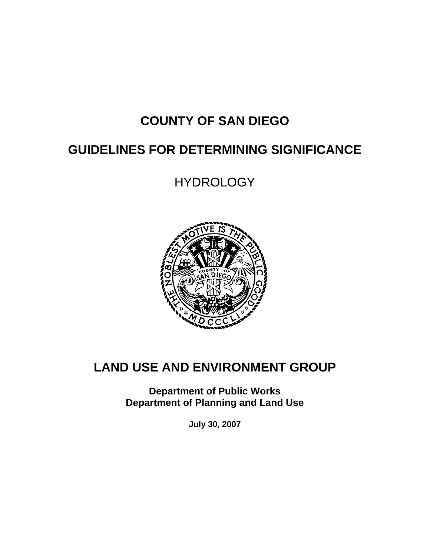# **COUNTY OF SAN DIEGO**

# **GUIDELINES FOR DETERMINING SIGNIFICANCE**

**HYDROLOGY** 



# **LAND USE AND ENVIRONMENT GROUP**

**Department of Public Works Department of Planning and Land Use** 

**July 30, 2007**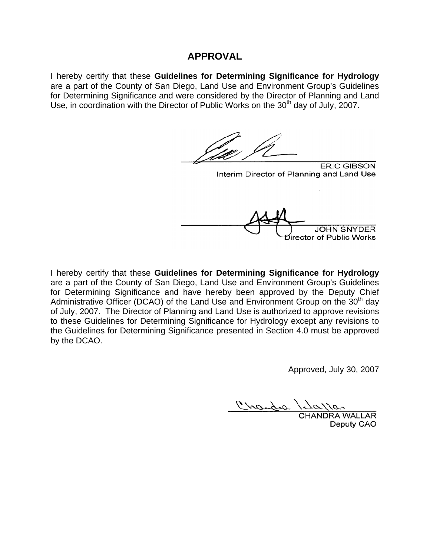#### **APPROVAL**

I hereby certify that these **Guidelines for Determining Significance for Hydrology**  are a part of the County of San Diego, Land Use and Environment Group's Guidelines for Determining Significance and were considered by the Director of Planning and Land Use, in coordination with the Director of Public Works on the  $30<sup>th</sup>$  day of July, 2007.

**ERIC GIBSON** Interim Director of Planning and Land Use งีirector of Public Works

I hereby certify that these **Guidelines for Determining Significance for Hydrology**  are a part of the County of San Diego, Land Use and Environment Group's Guidelines for Determining Significance and have hereby been approved by the Deputy Chief Administrative Officer (DCAO) of the Land Use and Environment Group on the  $30<sup>th</sup>$  day of July, 2007. The Director of Planning and Land Use is authorized to approve revisions to these Guidelines for Determining Significance for Hydrology except any revisions to the Guidelines for Determining Significance presented in Section 4.0 must be approved by the DCAO.

Approved, July 30, 2007

mandra

CHANDRA WALLAR Deputy CAO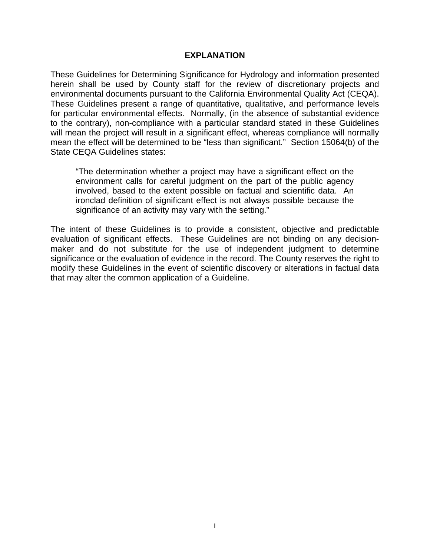#### **EXPLANATION**

These Guidelines for Determining Significance for Hydrology and information presented herein shall be used by County staff for the review of discretionary projects and environmental documents pursuant to the California Environmental Quality Act (CEQA). These Guidelines present a range of quantitative, qualitative, and performance levels for particular environmental effects. Normally, (in the absence of substantial evidence to the contrary), non-compliance with a particular standard stated in these Guidelines will mean the project will result in a significant effect, whereas compliance will normally mean the effect will be determined to be "less than significant." Section 15064(b) of the State CEQA Guidelines states:

"The determination whether a project may have a significant effect on the environment calls for careful judgment on the part of the public agency involved, based to the extent possible on factual and scientific data. An ironclad definition of significant effect is not always possible because the significance of an activity may vary with the setting."

The intent of these Guidelines is to provide a consistent, objective and predictable evaluation of significant effects. These Guidelines are not binding on any decisionmaker and do not substitute for the use of independent judgment to determine significance or the evaluation of evidence in the record. The County reserves the right to modify these Guidelines in the event of scientific discovery or alterations in factual data that may alter the common application of a Guideline.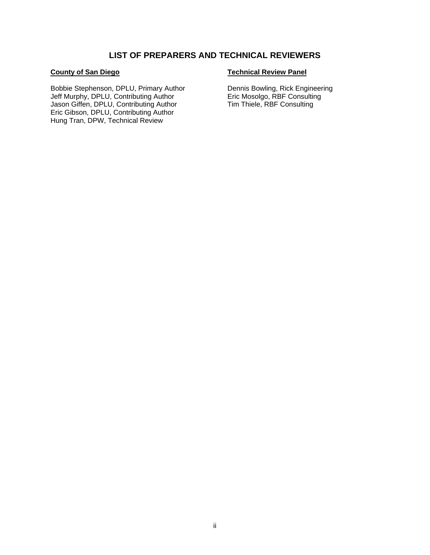#### **LIST OF PREPARERS AND TECHNICAL REVIEWERS**

#### **County of San Diego**

Bobbie Stephenson, DPLU, Primary Author Jeff Murphy, DPLU, Contributing Author Jason Giffen, DPLU, Contributing Author Eric Gibson, DPLU, Contributing Author Hung Tran, DPW, Technical Review

#### **Technical Review Panel**

Dennis Bowling, Rick Engineering Eric Mosolgo, RBF Consulting Tim Thiele, RBF Consulting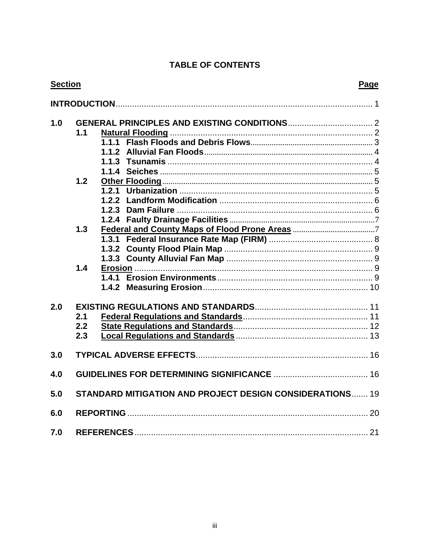# **TABLE OF CONTENTS**

| <b>Section</b> | Page                                                     |    |
|----------------|----------------------------------------------------------|----|
|                |                                                          |    |
| 1.0            | 1.1                                                      |    |
|                | 1.2                                                      |    |
|                | 1.3                                                      |    |
|                | $1.4$                                                    |    |
| 2.0            | 2.1<br>2.2<br>2.3                                        |    |
| 3.0            |                                                          |    |
| 4.0            |                                                          |    |
| 5.0            | STANDARD MITIGATION AND PROJECT DESIGN CONSIDERATIONS 19 |    |
| 6.0            |                                                          |    |
| 7.0            | <b>REFERENCES</b>                                        | 21 |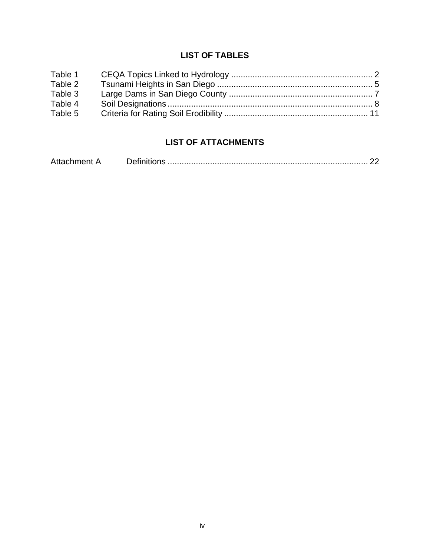#### **LIST OF TABLES**

| Table 1 |  |
|---------|--|
| Table 2 |  |
| Table 3 |  |
| Table 4 |  |
| Table 5 |  |

# **LIST OF ATTACHMENTS**

| Attachment A |  |  |
|--------------|--|--|
|--------------|--|--|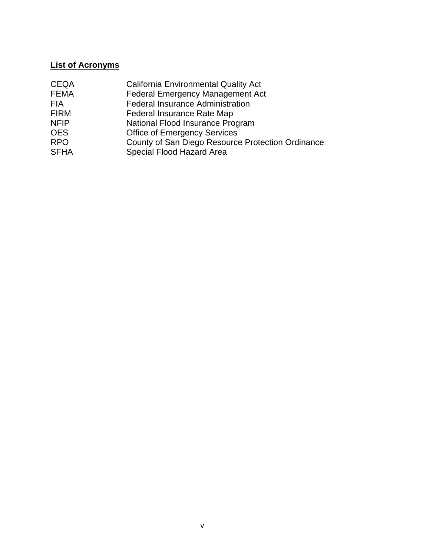#### **List of Acronyms**

| <b>CEQA</b> | <b>California Environmental Quality Act</b>       |
|-------------|---------------------------------------------------|
| <b>FEMA</b> | <b>Federal Emergency Management Act</b>           |
| <b>FIA</b>  | <b>Federal Insurance Administration</b>           |
| <b>FIRM</b> | Federal Insurance Rate Map                        |
| <b>NFIP</b> | National Flood Insurance Program                  |
| <b>OES</b>  | <b>Office of Emergency Services</b>               |
| <b>RPO</b>  | County of San Diego Resource Protection Ordinance |
| <b>SFHA</b> | Special Flood Hazard Area                         |
|             |                                                   |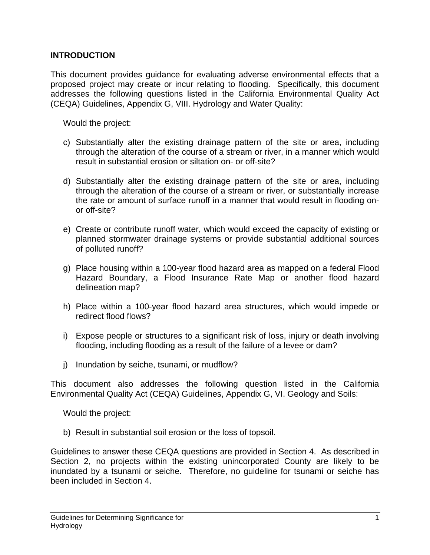#### **INTRODUCTION**

This document provides guidance for evaluating adverse environmental effects that a proposed project may create or incur relating to flooding. Specifically, this document addresses the following questions listed in the California Environmental Quality Act (CEQA) Guidelines, Appendix G, VIII. Hydrology and Water Quality:

Would the project:

- c) Substantially alter the existing drainage pattern of the site or area, including through the alteration of the course of a stream or river, in a manner which would result in substantial erosion or siltation on- or off-site?
- d) Substantially alter the existing drainage pattern of the site or area, including through the alteration of the course of a stream or river, or substantially increase the rate or amount of surface runoff in a manner that would result in flooding onor off-site?
- e) Create or contribute runoff water, which would exceed the capacity of existing or planned stormwater drainage systems or provide substantial additional sources of polluted runoff?
- g) Place housing within a 100-year flood hazard area as mapped on a federal Flood Hazard Boundary, a Flood Insurance Rate Map or another flood hazard delineation map?
- h) Place within a 100-year flood hazard area structures, which would impede or redirect flood flows?
- i) Expose people or structures to a significant risk of loss, injury or death involving flooding, including flooding as a result of the failure of a levee or dam?
- j) Inundation by seiche, tsunami, or mudflow?

This document also addresses the following question listed in the California Environmental Quality Act (CEQA) Guidelines, Appendix G, VI. Geology and Soils:

Would the project:

b) Result in substantial soil erosion or the loss of topsoil.

Guidelines to answer these CEQA questions are provided in Section 4. As described in Section 2, no projects within the existing unincorporated County are likely to be inundated by a tsunami or seiche. Therefore, no guideline for tsunami or seiche has been included in Section 4.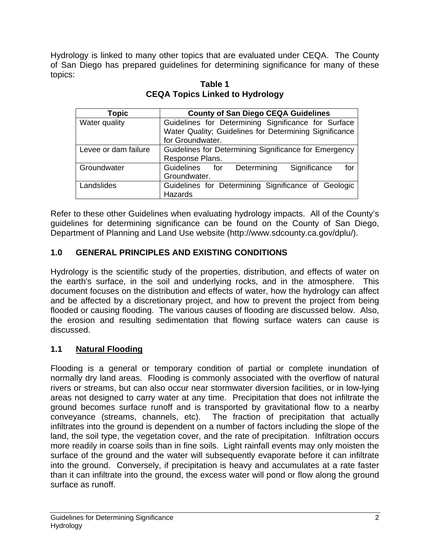Hydrology is linked to many other topics that are evaluated under CEQA. The County of San Diego has prepared guidelines for determining significance for many of these topics:

| <b>Topic</b>         | <b>County of San Diego CEQA Guidelines</b>              |  |  |  |
|----------------------|---------------------------------------------------------|--|--|--|
| Water quality        | Guidelines for Determining Significance for Surface     |  |  |  |
|                      | Water Quality; Guidelines for Determining Significance  |  |  |  |
|                      | for Groundwater.                                        |  |  |  |
| Levee or dam failure | Guidelines for Determining Significance for Emergency   |  |  |  |
|                      | Response Plans.                                         |  |  |  |
| Groundwater          | Determining<br>Significance<br>Guidelines<br>for<br>for |  |  |  |
|                      | Groundwater.                                            |  |  |  |
| Landslides           | Guidelines for Determining Significance of Geologic     |  |  |  |
|                      | Hazards                                                 |  |  |  |

**Table 1 CEQA Topics Linked to Hydrology** 

Refer to these other Guidelines when evaluating hydrology impacts. All of the County's guidelines for determining significance can be found on the County of San Diego, Department of Planning and Land Use website (http://www.sdcounty.ca.gov/dplu/).

# **1.0 GENERAL PRINCIPLES AND EXISTING CONDITIONS**

Hydrology is the scientific study of the properties, distribution, and effects of water on the earth's surface, in the soil and underlying rocks, and in the atmosphere. This document focuses on the distribution and effects of water, how the hydrology can affect and be affected by a discretionary project, and how to prevent the project from being flooded or causing flooding. The various causes of flooding are discussed below. Also, the erosion and resulting sedimentation that flowing surface waters can cause is discussed.

# **1.1 Natural Flooding**

Flooding is a general or temporary condition of partial or complete inundation of normally dry land areas. Flooding is commonly associated with the overflow of natural rivers or streams, but can also occur near stormwater diversion facilities, or in low-lying areas not designed to carry water at any time. Precipitation that does not infiltrate the ground becomes surface runoff and is transported by gravitational flow to a nearby conveyance (streams, channels, etc). The fraction of precipitation that actually infiltrates into the ground is dependent on a number of factors including the slope of the land, the soil type, the vegetation cover, and the rate of precipitation. Infiltration occurs more readily in coarse soils than in fine soils. Light rainfall events may only moisten the surface of the ground and the water will subsequently evaporate before it can infiltrate into the ground. Conversely, if precipitation is heavy and accumulates at a rate faster than it can infiltrate into the ground, the excess water will pond or flow along the ground surface as runoff.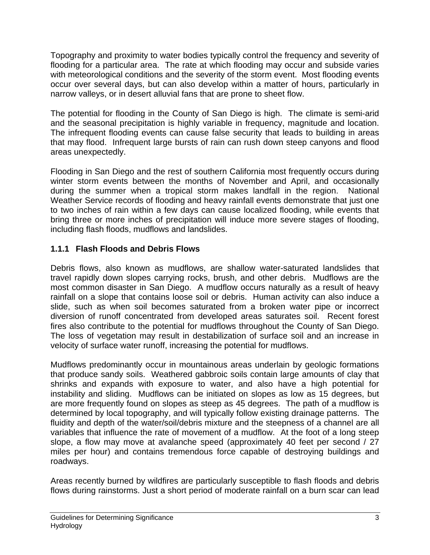Topography and proximity to water bodies typically control the frequency and severity of flooding for a particular area. The rate at which flooding may occur and subside varies with meteorological conditions and the severity of the storm event. Most flooding events occur over several days, but can also develop within a matter of hours, particularly in narrow valleys, or in desert alluvial fans that are prone to sheet flow.

The potential for flooding in the County of San Diego is high. The climate is semi-arid and the seasonal precipitation is highly variable in frequency, magnitude and location. The infrequent flooding events can cause false security that leads to building in areas that may flood. Infrequent large bursts of rain can rush down steep canyons and flood areas unexpectedly.

Flooding in San Diego and the rest of southern California most frequently occurs during winter storm events between the months of November and April, and occasionally during the summer when a tropical storm makes landfall in the region. National Weather Service records of flooding and heavy rainfall events demonstrate that just one to two inches of rain within a few days can cause localized flooding, while events that bring three or more inches of precipitation will induce more severe stages of flooding, including flash floods, mudflows and landslides.

# **1.1.1 Flash Floods and Debris Flows**

Debris flows, also known as mudflows, are shallow water-saturated landslides that travel rapidly down slopes carrying rocks, brush, and other debris. Mudflows are the most common disaster in San Diego. A mudflow occurs naturally as a result of heavy rainfall on a slope that contains loose soil or debris. Human activity can also induce a slide, such as when soil becomes saturated from a broken water pipe or incorrect diversion of runoff concentrated from developed areas saturates soil. Recent forest fires also contribute to the potential for mudflows throughout the County of San Diego. The loss of vegetation may result in destabilization of surface soil and an increase in velocity of surface water runoff, increasing the potential for mudflows.

Mudflows predominantly occur in mountainous areas underlain by geologic formations that produce sandy soils. Weathered gabbroic soils contain large amounts of clay that shrinks and expands with exposure to water, and also have a high potential for instability and sliding. Mudflows can be initiated on slopes as low as 15 degrees, but are more frequently found on slopes as steep as 45 degrees. The path of a mudflow is determined by local topography, and will typically follow existing drainage patterns. The fluidity and depth of the water/soil/debris mixture and the steepness of a channel are all variables that influence the rate of movement of a mudflow. At the foot of a long steep slope, a flow may move at avalanche speed (approximately 40 feet per second / 27 miles per hour) and contains tremendous force capable of destroying buildings and roadways.

Areas recently burned by wildfires are particularly susceptible to flash floods and debris flows during rainstorms. Just a short period of moderate rainfall on a burn scar can lead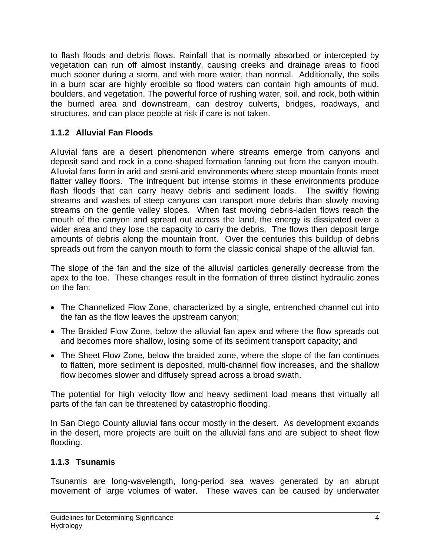to flash floods and debris flows. Rainfall that is normally absorbed or intercepted by vegetation can run off almost instantly, causing creeks and drainage areas to flood much sooner during a storm, and with more water, than normal. Additionally, the soils in a burn scar are highly erodible so flood waters can contain high amounts of mud, boulders, and vegetation. The powerful force of rushing water, soil, and rock, both within the burned area and downstream, can destroy culverts, bridges, roadways, and structures, and can place people at risk if care is not taken.

# **1.1.2 Alluvial Fan Floods**

Alluvial fans are a desert phenomenon where streams emerge from canyons and deposit sand and rock in a cone-shaped formation fanning out from the canyon mouth. Alluvial fans form in arid and semi-arid environments where steep mountain fronts meet flatter valley floors. The infrequent but intense storms in these environments produce flash floods that can carry heavy debris and sediment loads. The swiftly flowing streams and washes of steep canyons can transport more debris than slowly moving streams on the gentle valley slopes. When fast moving debris-laden flows reach the mouth of the canyon and spread out across the land, the energy is dissipated over a wider area and they lose the capacity to carry the debris. The flows then deposit large amounts of debris along the mountain front. Over the centuries this buildup of debris spreads out from the canyon mouth to form the classic conical shape of the alluvial fan.

The slope of the fan and the size of the alluvial particles generally decrease from the apex to the toe. These changes result in the formation of three distinct hydraulic zones on the fan:

- The Channelized Flow Zone, characterized by a single, entrenched channel cut into the fan as the flow leaves the upstream canyon;
- The Braided Flow Zone, below the alluvial fan apex and where the flow spreads out and becomes more shallow, losing some of its sediment transport capacity; and
- The Sheet Flow Zone, below the braided zone, where the slope of the fan continues to flatten, more sediment is deposited, multi-channel flow increases, and the shallow flow becomes slower and diffusely spread across a broad swath.

The potential for high velocity flow and heavy sediment load means that virtually all parts of the fan can be threatened by catastrophic flooding.

In San Diego County alluvial fans occur mostly in the desert. As development expands in the desert, more projects are built on the alluvial fans and are subject to sheet flow flooding.

# **1.1.3 Tsunamis**

Tsunamis are long-wavelength, long-period sea waves generated by an abrupt movement of large volumes of water. These waves can be caused by underwater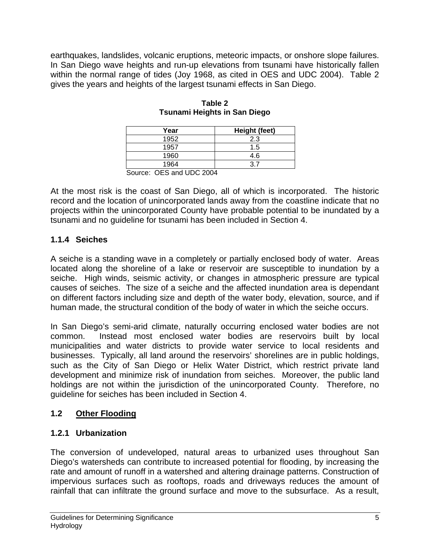earthquakes, landslides, volcanic eruptions, meteoric impacts, or onshore slope failures. In San Diego wave heights and run-up elevations from tsunami have historically fallen within the normal range of tides (Joy 1968, as cited in OES and UDC 2004). Table 2 gives the years and heights of the largest tsunami effects in San Diego.

| Year                                                        | Height (feet) |
|-------------------------------------------------------------|---------------|
| 1952                                                        | 2.3           |
| 1957                                                        | 1.5           |
| 1960                                                        | 4.6           |
| 1964                                                        | ว 7           |
| $S$ $O(1)$ $O(1)$ $O(1)$ $O(1)$ $O(1)$ $O(1)$ $O(1)$ $O(1)$ |               |

#### **Table 2 Tsunami Heights in San Diego**

At the most risk is the coast of San Diego, all of which is incorporated. The historic record and the location of unincorporated lands away from the coastline indicate that no projects within the unincorporated County have probable potential to be inundated by a tsunami and no guideline for tsunami has been included in Section 4.

# **1.1.4 Seiches**

A seiche is a standing wave in a completely or partially enclosed body of water. Areas located along the shoreline of a lake or reservoir are susceptible to inundation by a seiche. High winds, seismic activity, or changes in atmospheric pressure are typical causes of seiches. The size of a seiche and the affected inundation area is dependant on different factors including size and depth of the water body, elevation, source, and if human made, the structural condition of the body of water in which the seiche occurs.

In San Diego's semi-arid climate, naturally occurring enclosed water bodies are not common. Instead most enclosed water bodies are reservoirs built by local municipalities and water districts to provide water service to local residents and businesses. Typically, all land around the reservoirs' shorelines are in public holdings, such as the City of San Diego or Helix Water District, which restrict private land development and minimize risk of inundation from seiches. Moreover, the public land holdings are not within the jurisdiction of the unincorporated County. Therefore, no guideline for seiches has been included in Section 4.

# **1.2 Other Flooding**

# **1.2.1 Urbanization**

The conversion of undeveloped, natural areas to urbanized uses throughout San Diego's watersheds can contribute to increased potential for flooding, by increasing the rate and amount of runoff in a watershed and altering drainage patterns. Construction of impervious surfaces such as rooftops, roads and driveways reduces the amount of rainfall that can infiltrate the ground surface and move to the subsurface. As a result,

Source: OES and UDC 2004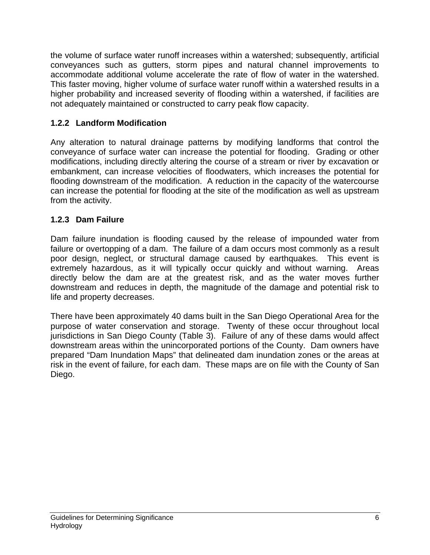the volume of surface water runoff increases within a watershed; subsequently, artificial conveyances such as gutters, storm pipes and natural channel improvements to accommodate additional volume accelerate the rate of flow of water in the watershed. This faster moving, higher volume of surface water runoff within a watershed results in a higher probability and increased severity of flooding within a watershed, if facilities are not adequately maintained or constructed to carry peak flow capacity.

# **1.2.2 Landform Modification**

Any alteration to natural drainage patterns by modifying landforms that control the conveyance of surface water can increase the potential for flooding. Grading or other modifications, including directly altering the course of a stream or river by excavation or embankment, can increase velocities of floodwaters, which increases the potential for flooding downstream of the modification. A reduction in the capacity of the watercourse can increase the potential for flooding at the site of the modification as well as upstream from the activity.

# **1.2.3 Dam Failure**

Dam failure inundation is flooding caused by the release of impounded water from failure or overtopping of a dam. The failure of a dam occurs most commonly as a result poor design, neglect, or structural damage caused by earthquakes. This event is extremely hazardous, as it will typically occur quickly and without warning. Areas directly below the dam are at the greatest risk, and as the water moves further downstream and reduces in depth, the magnitude of the damage and potential risk to life and property decreases.

There have been approximately 40 dams built in the San Diego Operational Area for the purpose of water conservation and storage. Twenty of these occur throughout local jurisdictions in San Diego County (Table 3). Failure of any of these dams would affect downstream areas within the unincorporated portions of the County. Dam owners have prepared "Dam Inundation Maps" that delineated dam inundation zones or the areas at risk in the event of failure, for each dam. These maps are on file with the County of San Diego.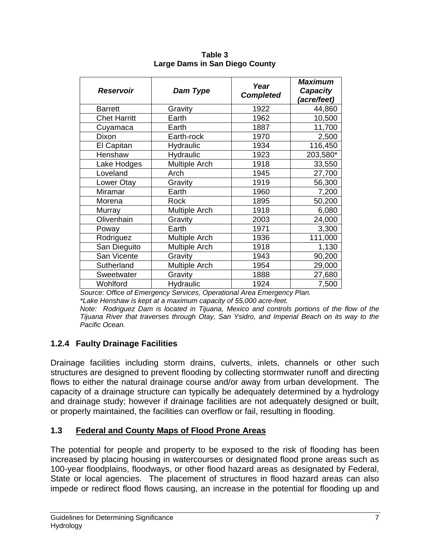| <b>Reservoir</b>    | Dam Type             | Year<br><b>Completed</b> | <b>Maximum</b><br>Capacity<br>(acre/feet) |
|---------------------|----------------------|--------------------------|-------------------------------------------|
| <b>Barrett</b>      | Gravity              | 1922                     | 44,860                                    |
| <b>Chet Harritt</b> | Earth                | 1962                     | 10,500                                    |
| Cuyamaca            | Earth                | 1887                     | 11,700                                    |
| Dixon               | Earth-rock           | 1970                     | 2,500                                     |
| El Capitan          | <b>Hydraulic</b>     | 1934                     | 116,450                                   |
| Henshaw             | Hydraulic            | 1923                     | 203,580*                                  |
| Lake Hodges         | <b>Multiple Arch</b> | 1918                     | 33,550                                    |
| Loveland            | Arch                 | 1945                     | 27,700                                    |
| Lower Otay          | Gravity              | 1919                     | 56,300                                    |
| Miramar             | Earth                | 1960                     | 7,200                                     |
| Morena              | Rock                 | 1895                     | 50,200                                    |
| Murray              | <b>Multiple Arch</b> | 1918                     | 6,080                                     |
| Olivenhain          | Gravity              | 2003                     | 24,000                                    |
| Poway               | Earth                | 1971                     | 3,300                                     |
| Rodriguez           | <b>Multiple Arch</b> | 1936                     | 111,000                                   |
| San Dieguito        | <b>Multiple Arch</b> | 1918                     | 1,130                                     |
| San Vicente         | Gravity              | 1943                     | 90,200                                    |
| Sutherland          | <b>Multiple Arch</b> | 1954                     | 29,000                                    |
| Sweetwater          | Gravity              | 1888                     | 27,680                                    |
| Wohlford            | Hydraulic            | 1924                     | 7,500                                     |

**Table 3 Large Dams in San Diego County**

 *Source: Office of Emergency Services, Operational Area Emergency Plan.* 

 *\*Lake Henshaw is kept at a maximum capacity of 55,000 acre-feet.* 

 *Note: Rodriguez Dam is located in Tijuana, Mexico and controls portions of the flow of the Tijuana River that traverses through Otay, San Ysidro, and Imperial Beach on its way to the Pacific Ocean.* 

# **1.2.4 Faulty Drainage Facilities**

Drainage facilities including storm drains, culverts, inlets, channels or other such structures are designed to prevent flooding by collecting stormwater runoff and directing flows to either the natural drainage course and/or away from urban development. The capacity of a drainage structure can typically be adequately determined by a hydrology and drainage study; however if drainage facilities are not adequately designed or built, or properly maintained, the facilities can overflow or fail, resulting in flooding.

# **1.3 Federal and County Maps of Flood Prone Areas**

The potential for people and property to be exposed to the risk of flooding has been increased by placing housing in watercourses or designated flood prone areas such as 100-year floodplains, floodways, or other flood hazard areas as designated by Federal, State or local agencies. The placement of structures in flood hazard areas can also impede or redirect flood flows causing, an increase in the potential for flooding up and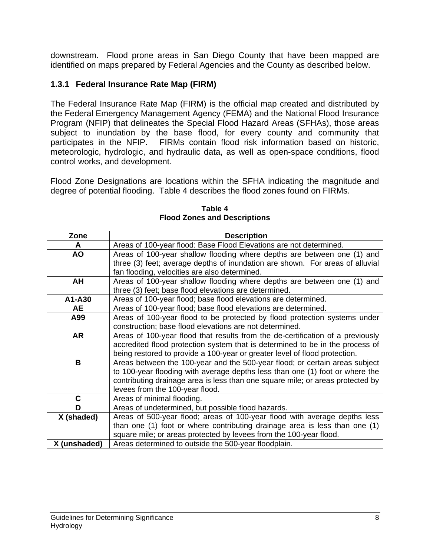downstream. Flood prone areas in San Diego County that have been mapped are identified on maps prepared by Federal Agencies and the County as described below.

# **1.3.1 Federal Insurance Rate Map (FIRM)**

The Federal Insurance Rate Map (FIRM) is the official map created and distributed by the Federal Emergency Management Agency (FEMA) and the National Flood Insurance Program (NFIP) that delineates the Special Flood Hazard Areas (SFHAs), those areas subject to inundation by the base flood, for every county and community that participates in the NFIP. FIRMs contain flood risk information based on historic, meteorologic, hydrologic, and hydraulic data, as well as open-space conditions, flood control works, and development.

Flood Zone Designations are locations within the SFHA indicating the magnitude and degree of potential flooding. Table 4 describes the flood zones found on FIRMs.

| Zone         | <b>Description</b>                                                             |  |  |  |
|--------------|--------------------------------------------------------------------------------|--|--|--|
| A            | Areas of 100-year flood: Base Flood Elevations are not determined.             |  |  |  |
| <b>AO</b>    | Areas of 100-year shallow flooding where depths are between one (1) and        |  |  |  |
|              | three (3) feet; average depths of inundation are shown. For areas of alluvial  |  |  |  |
|              | fan flooding, velocities are also determined.                                  |  |  |  |
| AH           | Areas of 100-year shallow flooding where depths are between one (1) and        |  |  |  |
|              | three (3) feet; base flood elevations are determined.                          |  |  |  |
| A1-A30       | Areas of 100-year flood; base flood elevations are determined.                 |  |  |  |
| <b>AE</b>    | Areas of 100-year flood; base flood elevations are determined.                 |  |  |  |
| A99          | Areas of 100-year flood to be protected by flood protection systems under      |  |  |  |
|              | construction; base flood elevations are not determined.                        |  |  |  |
| <b>AR</b>    | Areas of 100-year flood that results from the de-certification of a previously |  |  |  |
|              | accredited flood protection system that is determined to be in the process of  |  |  |  |
|              | being restored to provide a 100-year or greater level of flood protection.     |  |  |  |
| B            | Areas between the 100-year and the 500-year flood; or certain areas subject    |  |  |  |
|              | to 100-year flooding with average depths less than one (1) foot or where the   |  |  |  |
|              | contributing drainage area is less than one square mile; or areas protected by |  |  |  |
|              | levees from the 100-year flood.                                                |  |  |  |
| C            | Areas of minimal flooding.                                                     |  |  |  |
| D            | Areas of undetermined, but possible flood hazards.                             |  |  |  |
| X (shaded)   | Areas of 500-year flood; areas of 100-year flood with average depths less      |  |  |  |
|              | than one (1) foot or where contributing drainage area is less than one (1)     |  |  |  |
|              | square mile; or areas protected by levees from the 100-year flood.             |  |  |  |
| X (unshaded) | Areas determined to outside the 500-year floodplain.                           |  |  |  |

**Table 4 Flood Zones and Descriptions**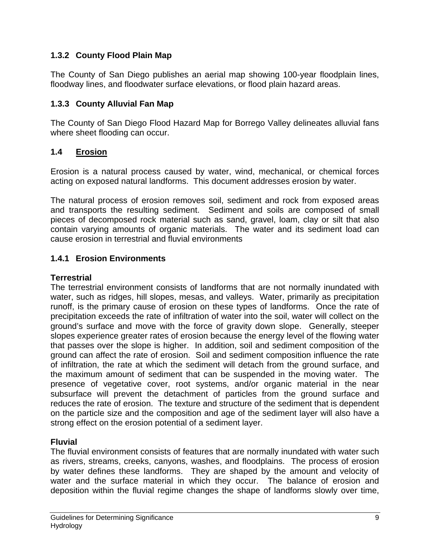# **1.3.2 County Flood Plain Map**

The County of San Diego publishes an aerial map showing 100-year floodplain lines, floodway lines, and floodwater surface elevations, or flood plain hazard areas.

#### **1.3.3 County Alluvial Fan Map**

The County of San Diego Flood Hazard Map for Borrego Valley delineates alluvial fans where sheet flooding can occur.

#### **1.4 Erosion**

Erosion is a natural process caused by water, wind, mechanical, or chemical forces acting on exposed natural landforms. This document addresses erosion by water.

The natural process of erosion removes soil, sediment and rock from exposed areas and transports the resulting sediment. Sediment and soils are composed of small pieces of decomposed rock material such as sand, gravel, loam, clay or silt that also contain varying amounts of organic materials. The water and its sediment load can cause erosion in terrestrial and fluvial environments

#### **1.4.1 Erosion Environments**

#### **Terrestrial**

The terrestrial environment consists of landforms that are not normally inundated with water, such as ridges, hill slopes, mesas, and valleys. Water, primarily as precipitation runoff, is the primary cause of erosion on these types of landforms. Once the rate of precipitation exceeds the rate of infiltration of water into the soil, water will collect on the ground's surface and move with the force of gravity down slope. Generally, steeper slopes experience greater rates of erosion because the energy level of the flowing water that passes over the slope is higher. In addition, soil and sediment composition of the ground can affect the rate of erosion. Soil and sediment composition influence the rate of infiltration, the rate at which the sediment will detach from the ground surface, and the maximum amount of sediment that can be suspended in the moving water. The presence of vegetative cover, root systems, and/or organic material in the near subsurface will prevent the detachment of particles from the ground surface and reduces the rate of erosion. The texture and structure of the sediment that is dependent on the particle size and the composition and age of the sediment layer will also have a strong effect on the erosion potential of a sediment layer.

#### **Fluvial**

The fluvial environment consists of features that are normally inundated with water such as rivers, streams, creeks, canyons, washes, and floodplains. The process of erosion by water defines these landforms. They are shaped by the amount and velocity of water and the surface material in which they occur. The balance of erosion and deposition within the fluvial regime changes the shape of landforms slowly over time,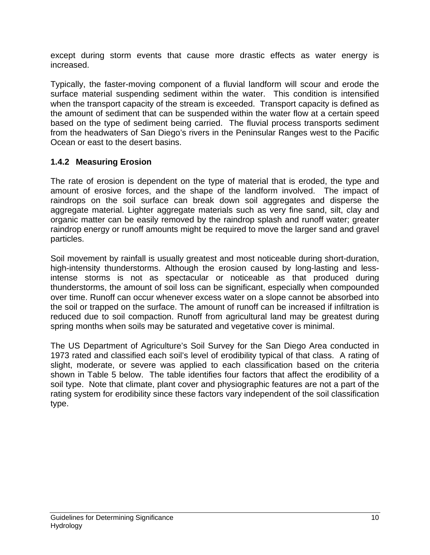except during storm events that cause more drastic effects as water energy is increased.

Typically, the faster-moving component of a fluvial landform will scour and erode the surface material suspending sediment within the water. This condition is intensified when the transport capacity of the stream is exceeded. Transport capacity is defined as the amount of sediment that can be suspended within the water flow at a certain speed based on the type of sediment being carried. The fluvial process transports sediment from the headwaters of San Diego's rivers in the Peninsular Ranges west to the Pacific Ocean or east to the desert basins.

# **1.4.2 Measuring Erosion**

The rate of erosion is dependent on the type of material that is eroded, the type and amount of erosive forces, and the shape of the landform involved. The impact of raindrops on the soil surface can break down soil aggregates and disperse the aggregate material. Lighter aggregate materials such as very fine sand, silt, clay and organic matter can be easily removed by the raindrop splash and runoff water; greater raindrop energy or runoff amounts might be required to move the larger sand and gravel particles.

Soil movement by rainfall is usually greatest and most noticeable during short-duration, high-intensity thunderstorms. Although the erosion caused by long-lasting and lessintense storms is not as spectacular or noticeable as that produced during thunderstorms, the amount of soil loss can be significant, especially when compounded over time. Runoff can occur whenever excess water on a slope cannot be absorbed into the soil or trapped on the surface. The amount of runoff can be increased if infiltration is reduced due to soil compaction. Runoff from agricultural land may be greatest during spring months when soils may be saturated and vegetative cover is minimal.

The US Department of Agriculture's Soil Survey for the San Diego Area conducted in 1973 rated and classified each soil's level of erodibility typical of that class. A rating of slight, moderate, or severe was applied to each classification based on the criteria shown in Table 5 below. The table identifies four factors that affect the erodibility of a soil type. Note that climate, plant cover and physiographic features are not a part of the rating system for erodibility since these factors vary independent of the soil classification type.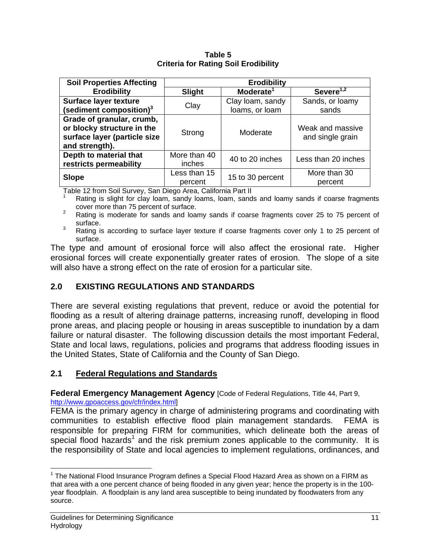| Table 5                                     |  |  |  |
|---------------------------------------------|--|--|--|
| <b>Criteria for Rating Soil Erodibility</b> |  |  |  |

| <b>Soil Properties Affecting</b>                                                                          | <b>Erodibility</b>      |                                    |                                      |
|-----------------------------------------------------------------------------------------------------------|-------------------------|------------------------------------|--------------------------------------|
| <b>Erodibility</b>                                                                                        | <b>Slight</b>           | Moderate <sup>1</sup>              | Severe $1,2$                         |
| Surface layer texture<br>(sediment composition) <sup>3</sup>                                              | Clay                    | Clay Ioam, sandy<br>loams, or loam | Sands, or loamy<br>sands             |
| Grade of granular, crumb,<br>or blocky structure in the<br>surface layer (particle size<br>and strength). | Strong                  | Moderate                           | Weak and massive<br>and single grain |
| Depth to material that<br>restricts permeability                                                          | More than 40<br>inches  | 40 to 20 inches                    | Less than 20 inches                  |
| <b>Slope</b>                                                                                              | Less than 15<br>percent | 15 to 30 percent                   | More than 30<br>percent              |

Table 12 from Soil Survey, San Diego Area, California Part II

Rating is slight for clay loam, sandy loams, loam, sands and loamy sands if coarse fragments cover more than 75 percent of surface.<br><sup>2</sup> Rating is moderate for sands and loamy sands if coarse fragments cover 25 to 75 percent of

surface.

 $3$  Rating is according to surface layer texture if coarse fragments cover only 1 to 25 percent of surface.

The type and amount of erosional force will also affect the erosional rate. Higher erosional forces will create exponentially greater rates of erosion. The slope of a site will also have a strong effect on the rate of erosion for a particular site.

# **2.0 EXISTING REGULATIONS AND STANDARDS**

There are several existing regulations that prevent, reduce or avoid the potential for flooding as a result of altering drainage patterns, increasing runoff, developing in flood prone areas, and placing people or housing in areas susceptible to inundation by a dam failure or natural disaster. The following discussion details the most important Federal, State and local laws, regulations, policies and programs that address flooding issues in the United States, State of California and the County of San Diego.

# **2.1 Federal Regulations and Standards**

**Federal Emergency Management Agency [Code of Federal Regulations, Title 44, Part 9,** http://www.gpoaccess.gov/cfr/index.html]

FEMA is the primary agency in charge of administering programs and coordinating with communities to establish effective flood plain management standards. FEMA is responsible for preparing FIRM for communities, which delineate both the areas of special flood hazards<sup>1</sup> and the risk premium zones applicable to the community. It is the responsibility of State and local agencies to implement regulations, ordinances, and

 $\overline{a}$  $1$  The National Flood Insurance Program defines a Special Flood Hazard Area as shown on a FIRM as that area with a one percent chance of being flooded in any given year; hence the property is in the 100 year floodplain. A floodplain is any land area susceptible to being inundated by floodwaters from any source.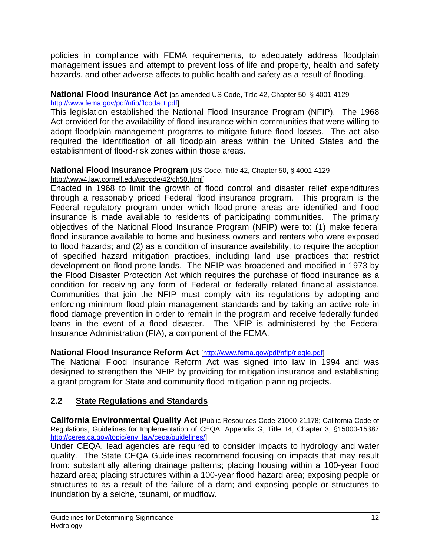policies in compliance with FEMA requirements, to adequately address floodplain management issues and attempt to prevent loss of life and property, health and safety hazards, and other adverse affects to public health and safety as a result of flooding.

# **National Flood Insurance Act** [as amended US Code, Title 42, Chapter 50, § 4001-4129

http://www.fema.gov/pdf/nfip/floodact.pdf]

This legislation established the National Flood Insurance Program (NFIP). The 1968 Act provided for the availability of flood insurance within communities that were willing to adopt floodplain management programs to mitigate future flood losses. The act also required the identification of all floodplain areas within the United States and the establishment of flood-risk zones within those areas.

# **National Flood Insurance Program** [US Code, Title 42, Chapter 50, § 4001-4129

# http://www4.law.cornell.edu/uscode/42/ch50.html]

Enacted in 1968 to limit the growth of flood control and disaster relief expenditures through a reasonably priced Federal flood insurance program. This program is the Federal regulatory program under which flood-prone areas are identified and flood insurance is made available to residents of participating communities. The primary objectives of the National Flood Insurance Program (NFIP) were to: (1) make federal flood insurance available to home and business owners and renters who were exposed to flood hazards; and (2) as a condition of insurance availability, to require the adoption of specified hazard mitigation practices, including land use practices that restrict development on flood-prone lands. The NFIP was broadened and modified in 1973 by the Flood Disaster Protection Act which requires the purchase of flood insurance as a condition for receiving any form of Federal or federally related financial assistance. Communities that join the NFIP must comply with its regulations by adopting and enforcing minimum flood plain management standards and by taking an active role in flood damage prevention in order to remain in the program and receive federally funded loans in the event of a flood disaster. The NFIP is administered by the Federal Insurance Administration (FIA), a component of the FEMA.

# **National Flood Insurance Reform Act** [http://www.fema.gov/pdf/nfip/riegle.pdf]

The National Flood Insurance Reform Act was signed into law in 1994 and was designed to strengthen the NFIP by providing for mitigation insurance and establishing a grant program for State and community flood mitigation planning projects.

# **2.2 State Regulations and Standards**

**California Environmental Quality Act** [Public Resources Code 21000-21178; California Code of Regulations, Guidelines for Implementation of CEQA, Appendix G, Title 14, Chapter 3, §15000-15387 http://ceres.ca.gov/topic/env\_law/ceqa/guidelines/]

Under CEQA, lead agencies are required to consider impacts to hydrology and water quality. The State CEQA Guidelines recommend focusing on impacts that may result from: substantially altering drainage patterns; placing housing within a 100-year flood hazard area; placing structures within a 100-year flood hazard area; exposing people or structures to as a result of the failure of a dam; and exposing people or structures to inundation by a seiche, tsunami, or mudflow.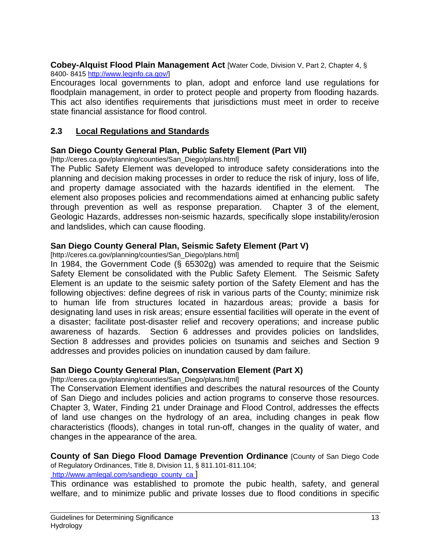**Cobey-Alquist Flood Plain Management Act** [Water Code, Division V, Part 2, Chapter 4, § 8400- 8415 http://www.leginfo.ca.gov/]

Encourages local governments to plan, adopt and enforce land use regulations for floodplain management, in order to protect people and property from flooding hazards. This act also identifies requirements that jurisdictions must meet in order to receive state financial assistance for flood control.

#### **2.3 Local Regulations and Standards**

#### **San Diego County General Plan, Public Safety Element (Part VII)**

[http://ceres.ca.gov/planning/counties/San\_Diego/plans.html]

The Public Safety Element was developed to introduce safety considerations into the planning and decision making processes in order to reduce the risk of injury, loss of life, and property damage associated with the hazards identified in the element. The element also proposes policies and recommendations aimed at enhancing public safety through prevention as well as response preparation. Chapter 3 of the element, Geologic Hazards, addresses non-seismic hazards, specifically slope instability/erosion and landslides, which can cause flooding.

#### **San Diego County General Plan, Seismic Safety Element (Part V)**

[http://ceres.ca.gov/planning/counties/San\_Diego/plans.html]

In 1984, the Government Code (§ 65302g) was amended to require that the Seismic Safety Element be consolidated with the Public Safety Element. The Seismic Safety Element is an update to the seismic safety portion of the Safety Element and has the following objectives: define degrees of risk in various parts of the County; minimize risk to human life from structures located in hazardous areas; provide a basis for designating land uses in risk areas; ensure essential facilities will operate in the event of a disaster; facilitate post-disaster relief and recovery operations; and increase public awareness of hazards. Section 6 addresses and provides policies on landslides, Section 8 addresses and provides policies on tsunamis and seiches and Section 9 addresses and provides policies on inundation caused by dam failure.

#### **San Diego County General Plan, Conservation Element (Part X)**

[http://ceres.ca.gov/planning/counties/San\_Diego/plans.html]

The Conservation Element identifies and describes the natural resources of the County of San Diego and includes policies and action programs to conserve those resources. Chapter 3, Water, Finding 21 under Drainage and Flood Control, addresses the effects of land use changes on the hydrology of an area, including changes in peak flow characteristics (floods), changes in total run-off, changes in the quality of water, and changes in the appearance of the area.

**County of San Diego Flood Damage Prevention Ordinance** [County of San Diego Code of Regulatory Ordinances, Title 8, Division 11, § 811.101-811.104;

http://www.amlegal.com/sandiego\_county\_ca ]

This ordinance was established to promote the pubic health, safety, and general welfare, and to minimize public and private losses due to flood conditions in specific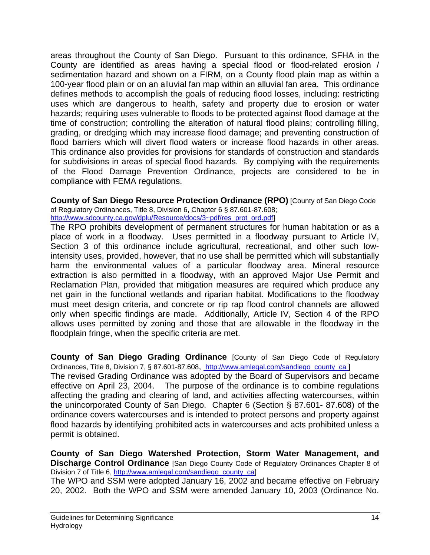areas throughout the County of San Diego. Pursuant to this ordinance, SFHA in the County are identified as areas having a special flood or flood-related erosion / sedimentation hazard and shown on a FIRM, on a County flood plain map as within a 100-year flood plain or on an alluvial fan map within an alluvial fan area. This ordinance defines methods to accomplish the goals of reducing flood losses, including: restricting uses which are dangerous to health, safety and property due to erosion or water hazards; requiring uses vulnerable to floods to be protected against flood damage at the time of construction; controlling the alteration of natural flood plains; controlling filling, grading, or dredging which may increase flood damage; and preventing construction of flood barriers which will divert flood waters or increase flood hazards in other areas. This ordinance also provides for provisions for standards of construction and standards for subdivisions in areas of special flood hazards. By complying with the requirements of the Flood Damage Prevention Ordinance, projects are considered to be in compliance with FEMA regulations.

**County of San Diego Resource Protection Ordinance (RPO)** [County of San Diego Code of Regulatory Ordinances, Title 8, Division 6, Chapter 6 § 87.601-87.608;

http://www.sdcounty.ca.gov/dplu/Resource/docs/3~pdf/res\_prot\_ord.pdf]

The RPO prohibits development of permanent structures for human habitation or as a place of work in a floodway. Uses permitted in a floodway pursuant to Article IV, Section 3 of this ordinance include agricultural, recreational, and other such lowintensity uses, provided, however, that no use shall be permitted which will substantially harm the environmental values of a particular floodway area. Mineral resource extraction is also permitted in a floodway, with an approved Major Use Permit and Reclamation Plan, provided that mitigation measures are required which produce any net gain in the functional wetlands and riparian habitat. Modifications to the floodway must meet design criteria, and concrete or rip rap flood control channels are allowed only when specific findings are made. Additionally, Article IV, Section 4 of the RPO allows uses permitted by zoning and those that are allowable in the floodway in the floodplain fringe, when the specific criteria are met.

**County of San Diego Grading Ordinance** [County of San Diego Code of Regulatory Ordinances, Title 8, Division 7, § 87.601-87.608, http://www.amlegal.com/sandiego\_county\_ca ]

The revised Grading Ordinance was adopted by the Board of Supervisors and became effective on April 23, 2004. The purpose of the ordinance is to combine regulations affecting the grading and clearing of land, and activities affecting watercourses, within the unincorporated County of San Diego. Chapter 6 (Section § 87.601- 87.608) of the ordinance covers watercourses and is intended to protect persons and property against flood hazards by identifying prohibited acts in watercourses and acts prohibited unless a permit is obtained.

**County of San Diego Watershed Protection, Storm Water Management, and Discharge Control Ordinance** [San Diego County Code of Regulatory Ordinances Chapter 8 of Division 7 of Title 6, http://www.amlegal.com/sandiego\_county\_ca] The WPO and SSM were adopted January 16, 2002 and became effective on February

20, 2002. Both the WPO and SSM were amended January 10, 2003 (Ordinance No.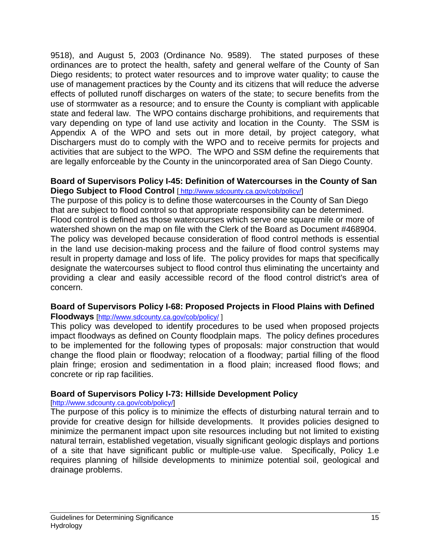9518), and August 5, 2003 (Ordinance No. 9589). The stated purposes of these ordinances are to protect the health, safety and general welfare of the County of San Diego residents; to protect water resources and to improve water quality; to cause the use of management practices by the County and its citizens that will reduce the adverse effects of polluted runoff discharges on waters of the state; to secure benefits from the use of stormwater as a resource; and to ensure the County is compliant with applicable state and federal law. The WPO contains discharge prohibitions, and requirements that vary depending on type of land use activity and location in the County. The SSM is Appendix A of the WPO and sets out in more detail, by project category, what Dischargers must do to comply with the WPO and to receive permits for projects and activities that are subject to the WPO. The WPO and SSM define the requirements that are legally enforceable by the County in the unincorporated area of San Diego County.

#### **Board of Supervisors Policy I-45: Definition of Watercourses in the County of San Diego Subject to Flood Control** [ http://www.sdcounty.ca.gov/cob/policy/]

The purpose of this policy is to define those watercourses in the County of San Diego that are subject to flood control so that appropriate responsibility can be determined. Flood control is defined as those watercourses which serve one square mile or more of watershed shown on the map on file with the Clerk of the Board as Document #468904. The policy was developed because consideration of flood control methods is essential in the land use decision-making process and the failure of flood control systems may result in property damage and loss of life. The policy provides for maps that specifically designate the watercourses subject to flood control thus eliminating the uncertainty and providing a clear and easily accessible record of the flood control district's area of concern.

# **Board of Supervisors Policy I-68: Proposed Projects in Flood Plains with Defined**

#### **Floodways** [http://www.sdcounty.ca.gov/cob/policy/ ]

This policy was developed to identify procedures to be used when proposed projects impact floodways as defined on County floodplain maps. The policy defines procedures to be implemented for the following types of proposals: major construction that would change the flood plain or floodway; relocation of a floodway; partial filling of the flood plain fringe; erosion and sedimentation in a flood plain; increased flood flows; and concrete or rip rap facilities.

#### **Board of Supervisors Policy I-73: Hillside Development Policy**

#### [http://www.sdcounty.ca.gov/cob/policy/]

The purpose of this policy is to minimize the effects of disturbing natural terrain and to provide for creative design for hillside developments. It provides policies designed to minimize the permanent impact upon site resources including but not limited to existing natural terrain, established vegetation, visually significant geologic displays and portions of a site that have significant public or multiple-use value. Specifically, Policy 1.e requires planning of hillside developments to minimize potential soil, geological and drainage problems.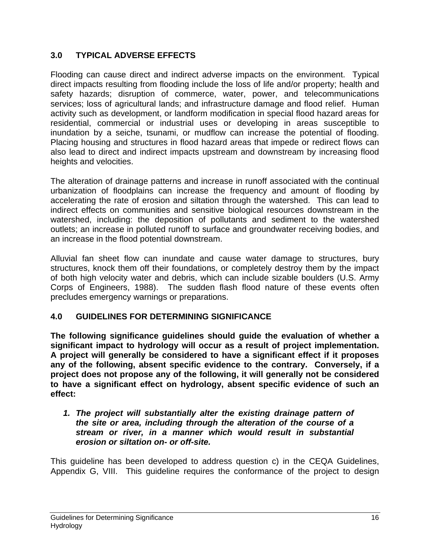# **3.0 TYPICAL ADVERSE EFFECTS**

Flooding can cause direct and indirect adverse impacts on the environment. Typical direct impacts resulting from flooding include the loss of life and/or property; health and safety hazards; disruption of commerce, water, power, and telecommunications services; loss of agricultural lands; and infrastructure damage and flood relief. Human activity such as development, or landform modification in special flood hazard areas for residential, commercial or industrial uses or developing in areas susceptible to inundation by a seiche, tsunami, or mudflow can increase the potential of flooding. Placing housing and structures in flood hazard areas that impede or redirect flows can also lead to direct and indirect impacts upstream and downstream by increasing flood heights and velocities.

The alteration of drainage patterns and increase in runoff associated with the continual urbanization of floodplains can increase the frequency and amount of flooding by accelerating the rate of erosion and siltation through the watershed. This can lead to indirect effects on communities and sensitive biological resources downstream in the watershed, including: the deposition of pollutants and sediment to the watershed outlets; an increase in polluted runoff to surface and groundwater receiving bodies, and an increase in the flood potential downstream.

Alluvial fan sheet flow can inundate and cause water damage to structures, bury structures, knock them off their foundations, or completely destroy them by the impact of both high velocity water and debris, which can include sizable boulders (U.S. Army Corps of Engineers, 1988). The sudden flash flood nature of these events often precludes emergency warnings or preparations.

# **4.0 GUIDELINES FOR DETERMINING SIGNIFICANCE**

**The following significance guidelines should guide the evaluation of whether a significant impact to hydrology will occur as a result of project implementation. A project will generally be considered to have a significant effect if it proposes any of the following, absent specific evidence to the contrary. Conversely, if a project does not propose any of the following, it will generally not be considered to have a significant effect on hydrology, absent specific evidence of such an effect:** 

#### *1. The project will substantially alter the existing drainage pattern of the site or area, including through the alteration of the course of a stream or river, in a manner which would result in substantial erosion or siltation on- or off-site.*

This guideline has been developed to address question c) in the CEQA Guidelines, Appendix G, VIII. This guideline requires the conformance of the project to design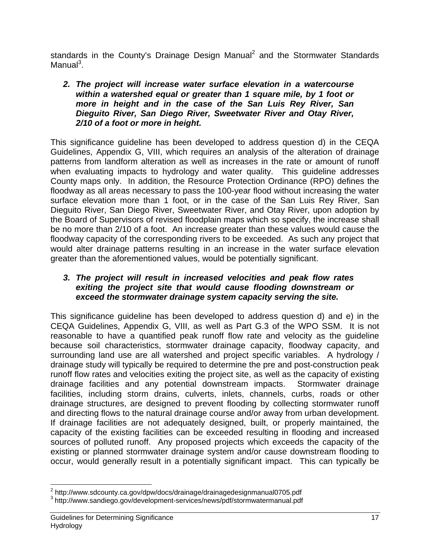standards in the County's Drainage Design Manual<sup>2</sup> and the Stormwater Standards Manual<sup>3</sup>.

#### *2. The project will increase water surface elevation in a watercourse within a watershed equal or greater than 1 square mile, by 1 foot or more in height and in the case of the San Luis Rey River, San Dieguito River, San Diego River, Sweetwater River and Otay River, 2/10 of a foot or more in height.*

This significance guideline has been developed to address question d) in the CEQA Guidelines, Appendix G, VIII, which requires an analysis of the alteration of drainage patterns from landform alteration as well as increases in the rate or amount of runoff when evaluating impacts to hydrology and water quality. This guideline addresses County maps only. In addition, the Resource Protection Ordinance (RPO) defines the floodway as all areas necessary to pass the 100-year flood without increasing the water surface elevation more than 1 foot, or in the case of the San Luis Rey River, San Dieguito River, San Diego River, Sweetwater River, and Otay River, upon adoption by the Board of Supervisors of revised floodplain maps which so specify, the increase shall be no more than 2/10 of a foot. An increase greater than these values would cause the floodway capacity of the corresponding rivers to be exceeded. As such any project that would alter drainage patterns resulting in an increase in the water surface elevation greater than the aforementioned values, would be potentially significant.

#### *3. The project will result in increased velocities and peak flow rates exiting the project site that would cause flooding downstream or exceed the stormwater drainage system capacity serving the site.*

This significance guideline has been developed to address question d) and e) in the CEQA Guidelines, Appendix G, VIII, as well as Part G.3 of the WPO SSM. It is not reasonable to have a quantified peak runoff flow rate and velocity as the guideline because soil characteristics, stormwater drainage capacity, floodway capacity, and surrounding land use are all watershed and project specific variables. A hydrology / drainage study will typically be required to determine the pre and post-construction peak runoff flow rates and velocities exiting the project site, as well as the capacity of existing drainage facilities and any potential downstream impacts. Stormwater drainage facilities, including storm drains, culverts, inlets, channels, curbs, roads or other drainage structures, are designed to prevent flooding by collecting stormwater runoff and directing flows to the natural drainage course and/or away from urban development. If drainage facilities are not adequately designed, built, or properly maintained, the capacity of the existing facilities can be exceeded resulting in flooding and increased sources of polluted runoff. Any proposed projects which exceeds the capacity of the existing or planned stormwater drainage system and/or cause downstream flooding to occur, would generally result in a potentially significant impact. This can typically be

 $\frac{1}{2}$ 

 $3$  http://www.sandiego.gov/development-services/news/pdf/stormwatermanual.pdf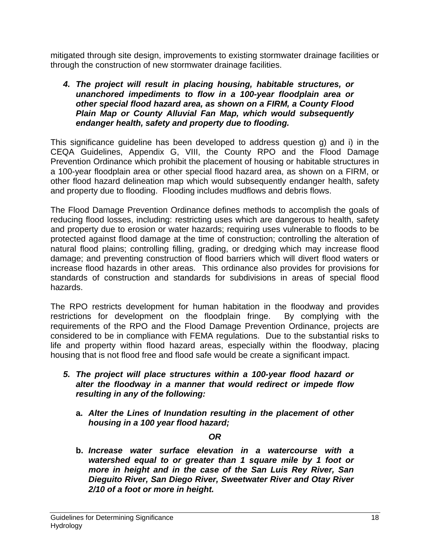mitigated through site design, improvements to existing stormwater drainage facilities or through the construction of new stormwater drainage facilities.

#### *4. The project will result in placing housing, habitable structures, or unanchored impediments to flow in a 100-year floodplain area or other special flood hazard area, as shown on a FIRM, a County Flood Plain Map or County Alluvial Fan Map, which would subsequently endanger health, safety and property due to flooding.*

This significance guideline has been developed to address question g) and i) in the CEQA Guidelines, Appendix G, VIII, the County RPO and the Flood Damage Prevention Ordinance which prohibit the placement of housing or habitable structures in a 100-year floodplain area or other special flood hazard area, as shown on a FIRM, or other flood hazard delineation map which would subsequently endanger health, safety and property due to flooding. Flooding includes mudflows and debris flows.

The Flood Damage Prevention Ordinance defines methods to accomplish the goals of reducing flood losses, including: restricting uses which are dangerous to health, safety and property due to erosion or water hazards; requiring uses vulnerable to floods to be protected against flood damage at the time of construction; controlling the alteration of natural flood plains; controlling filling, grading, or dredging which may increase flood damage; and preventing construction of flood barriers which will divert flood waters or increase flood hazards in other areas. This ordinance also provides for provisions for standards of construction and standards for subdivisions in areas of special flood hazards.

The RPO restricts development for human habitation in the floodway and provides restrictions for development on the floodplain fringe. By complying with the requirements of the RPO and the Flood Damage Prevention Ordinance, projects are considered to be in compliance with FEMA regulations. Due to the substantial risks to life and property within flood hazard areas, especially within the floodway, placing housing that is not flood free and flood safe would be create a significant impact.

- *5. The project will place structures within a 100-year flood hazard or alter the floodway in a manner that would redirect or impede flow resulting in any of the following:* 
	- **a.** *Alter the Lines of Inundation resulting in the placement of other housing in a 100 year flood hazard;*

#### *OR*

**b.** *Increase water surface elevation in a watercourse with a watershed equal to or greater than 1 square mile by 1 foot or more in height and in the case of the San Luis Rey River, San Dieguito River, San Diego River, Sweetwater River and Otay River 2/10 of a foot or more in height.*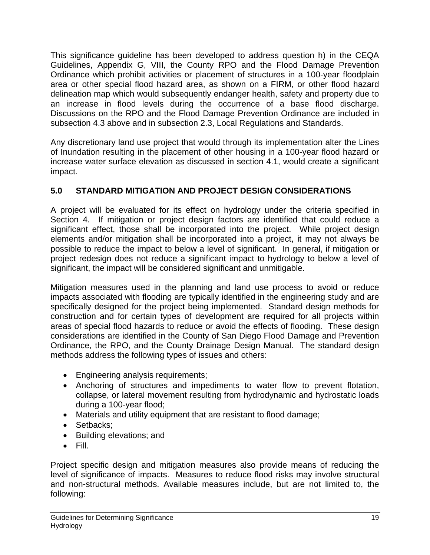This significance guideline has been developed to address question h) in the CEQA Guidelines, Appendix G, VIII, the County RPO and the Flood Damage Prevention Ordinance which prohibit activities or placement of structures in a 100-year floodplain area or other special flood hazard area, as shown on a FIRM, or other flood hazard delineation map which would subsequently endanger health, safety and property due to an increase in flood levels during the occurrence of a base flood discharge. Discussions on the RPO and the Flood Damage Prevention Ordinance are included in subsection 4.3 above and in subsection 2.3, Local Regulations and Standards.

Any discretionary land use project that would through its implementation alter the Lines of Inundation resulting in the placement of other housing in a 100-year flood hazard or increase water surface elevation as discussed in section 4.1, would create a significant impact.

# **5.0 STANDARD MITIGATION AND PROJECT DESIGN CONSIDERATIONS**

A project will be evaluated for its effect on hydrology under the criteria specified in Section 4. If mitigation or project design factors are identified that could reduce a significant effect, those shall be incorporated into the project. While project design elements and/or mitigation shall be incorporated into a project, it may not always be possible to reduce the impact to below a level of significant. In general, if mitigation or project redesign does not reduce a significant impact to hydrology to below a level of significant, the impact will be considered significant and unmitigable.

Mitigation measures used in the planning and land use process to avoid or reduce impacts associated with flooding are typically identified in the engineering study and are specifically designed for the project being implemented. Standard design methods for construction and for certain types of development are required for all projects within areas of special flood hazards to reduce or avoid the effects of flooding. These design considerations are identified in the County of San Diego Flood Damage and Prevention Ordinance, the RPO, and the County Drainage Design Manual. The standard design methods address the following types of issues and others:

- Engineering analysis requirements;
- Anchoring of structures and impediments to water flow to prevent flotation, collapse, or lateral movement resulting from hydrodynamic and hydrostatic loads during a 100-year flood;
- Materials and utility equipment that are resistant to flood damage;
- Setbacks:
- Building elevations; and
- Fill.

Project specific design and mitigation measures also provide means of reducing the level of significance of impacts. Measures to reduce flood risks may involve structural and non-structural methods. Available measures include, but are not limited to, the following: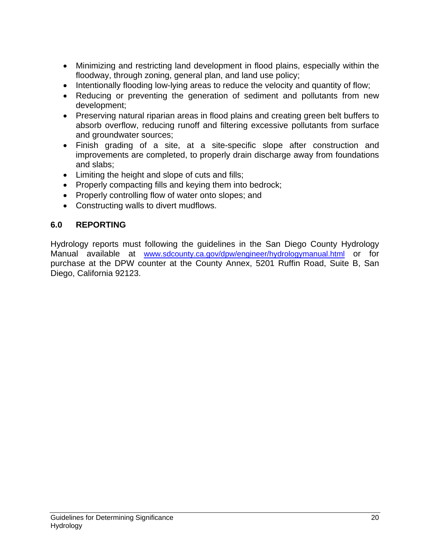- Minimizing and restricting land development in flood plains, especially within the floodway, through zoning, general plan, and land use policy;
- Intentionally flooding low-lying areas to reduce the velocity and quantity of flow;
- Reducing or preventing the generation of sediment and pollutants from new development;
- Preserving natural riparian areas in flood plains and creating green belt buffers to absorb overflow, reducing runoff and filtering excessive pollutants from surface and groundwater sources;
- Finish grading of a site, at a site-specific slope after construction and improvements are completed, to properly drain discharge away from foundations and slabs;
- Limiting the height and slope of cuts and fills;
- Properly compacting fills and keying them into bedrock;
- Properly controlling flow of water onto slopes; and
- Constructing walls to divert mudflows.

# **6.0 REPORTING**

Hydrology reports must following the guidelines in the San Diego County Hydrology Manual available at www.sdcounty.ca.gov/dpw/engineer/hydrologymanual.html or for purchase at the DPW counter at the County Annex, 5201 Ruffin Road, Suite B, San Diego, California 92123.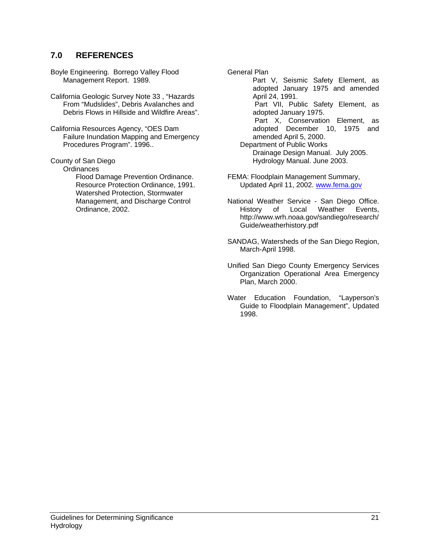#### **7.0 REFERENCES**

Boyle Engineering. Borrego Valley Flood Management Report. 1989.

California Geologic Survey Note 33 , "Hazards From "Mudslides", Debris Avalanches and Debris Flows in Hillside and Wildfire Areas".

California Resources Agency, "OES Dam Failure Inundation Mapping and Emergency Procedures Program". 1996..

County of San Diego

**Ordinances** 

Flood Damage Prevention Ordinance. Resource Protection Ordinance, 1991. Watershed Protection, Stormwater Management, and Discharge Control Ordinance, 2002.

General Plan

 Part V, Seismic Safety Element, as adopted January 1975 and amended April 24, 1991. Part VII, Public Safety Element, as adopted January 1975. Part X, Conservation Element, as adopted December 10, 1975 and amended April 5, 2000. Department of Public Works Drainage Design Manual. July 2005. Hydrology Manual. June 2003.

FEMA: Floodplain Management Summary, Updated April 11, 2002. www.fema.gov

National Weather Service - San Diego Office. History of Local Weather Events, http://www.wrh.noaa.gov/sandiego/research/ Guide/weatherhistory.pdf

SANDAG, Watersheds of the San Diego Region, March-April 1998.

Unified San Diego County Emergency Services Organization Operational Area Emergency Plan, March 2000.

Water Education Foundation, "Layperson's Guide to Floodplain Management", Updated 1998.